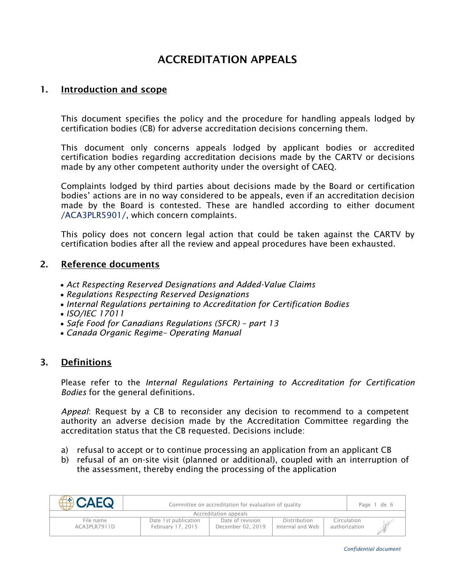# ACCREDITATION APPEALS

# 1. Introduction and scope

This document specifies the policy and the procedure for handling appeals lodged by certification bodies (CB) for adverse accreditation decisions concerning them.

This document only concerns appeals lodged by applicant bodies or accredited certification bodies regarding accreditation decisions made by the CARTV or decisions made by any other competent authority under the oversight of CAEQ.

Complaints lodged by third parties about decisions made by the Board or certification bodies' actions are in no way considered to be appeals, even if an accreditation decision made by the Board is contested. These are handled according to either document /ACA3PLR5901/, which concern complaints.

This policy does not concern legal action that could be taken against the CARTV by certification bodies after all the review and appeal procedures have been exhausted.

#### 2. Reference documents

- *Act Respecting Reserved Designations and Added-Value Claims*
- *Regulations Respecting Reserved Designations*
- *Internal Regulations pertaining to Accreditation for Certification Bodies*
- *ISO/IEC 17011*
- *[Safe Food for Canadians Regulations](https://www.inspection.gc.ca/english/reg/jredirect2.shtml?sfcrrsac) (SFCR) – part 13*
- *Canada Organic Regime– Operating Manual*

#### 3. Definitions

Please refer to the *Internal Regulations Pertaining to Accreditation for Certification Bodies* for the general definitions.

*Appeal*: Request by a CB to reconsider any decision to recommend to a competent authority an adverse decision made by the Accreditation Committee regarding the accreditation status that the CB requested. Decisions include:

- a) refusal to accept or to continue processing an application from an applicant CB
- b) refusal of an on-site visit (planned or additional), coupled with an interruption of the assessment, thereby ending the processing of the application

| <b>EACAFO</b>             | Committee on accreditation for evaluation of quality |                                       |                                  |               |             | Page 1 de 6 |
|---------------------------|------------------------------------------------------|---------------------------------------|----------------------------------|---------------|-------------|-------------|
| Accreditation appeals     |                                                      |                                       |                                  |               |             |             |
| File name<br>ACA3PLR7911D | Date 1st publication<br>February 17, 2015            | Date of revision<br>December 02, 2019 | Distribution<br>Internal and Web | authorization | Circulation |             |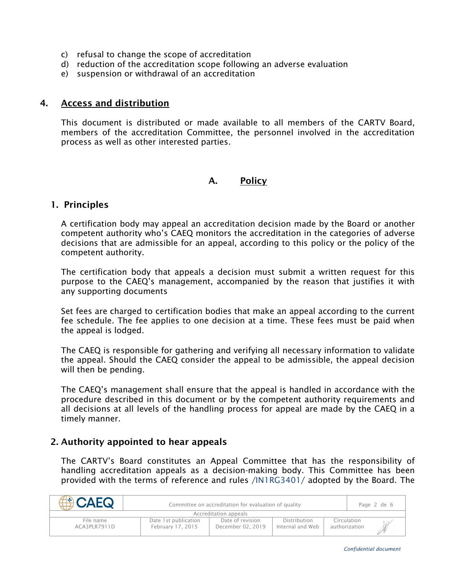- c) refusal to change the scope of accreditation
- d) reduction of the accreditation scope following an adverse evaluation
- e) suspension or withdrawal of an accreditation

#### 4. Access and distribution

This document is distributed or made available to all members of the CARTV Board, members of the accreditation Committee, the personnel involved in the accreditation process as well as other interested parties.

#### A. Policy

#### 1. Principles

A certification body may appeal an accreditation decision made by the Board or another competent authority who's CAEQ monitors the accreditation in the categories of adverse decisions that are admissible for an appeal, according to this policy or the policy of the competent authority.

The certification body that appeals a decision must submit a written request for this purpose to the CAEQ's management, accompanied by the reason that justifies it with any supporting documents

Set fees are charged to certification bodies that make an appeal according to the current fee schedule. The fee applies to one decision at a time. These fees must be paid when the appeal is lodged.

The CAEQ is responsible for gathering and verifying all necessary information to validate the appeal. Should the CAEQ consider the appeal to be admissible, the appeal decision will then be pending.

The CAEQ's management shall ensure that the appeal is handled in accordance with the procedure described in this document or by the competent authority requirements and all decisions at all levels of the handling process for appeal are made by the CAEQ in a timely manner.

#### 2. Authority appointed to hear appeals

The CARTV's Board constitutes an Appeal Committee that has the responsibility of handling accreditation appeals as a decision-making body. This Committee has been provided with the terms of reference and rules /IN1RG3401/ adopted by the Board. The

| ACAFO                     | Committee on accreditation for evaluation of quality |                                       |                                  |               |             | Page 2 de 6 |
|---------------------------|------------------------------------------------------|---------------------------------------|----------------------------------|---------------|-------------|-------------|
| Accreditation appeals     |                                                      |                                       |                                  |               |             |             |
| File name<br>ACA3PLR7911D | Date 1st publication<br>February 17, 2015            | Date of revision<br>December 02, 2019 | Distribution<br>Internal and Web | authorization | Circulation |             |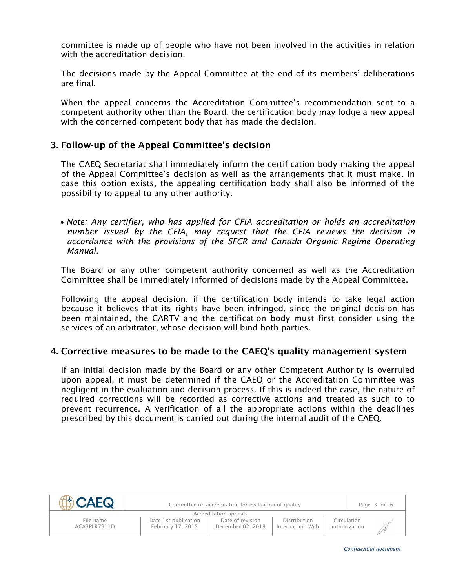committee is made up of people who have not been involved in the activities in relation with the accreditation decision

The decisions made by the Appeal Committee at the end of its members' deliberations are final.

When the appeal concerns the Accreditation Committee's recommendation sent to a competent authority other than the Board, the certification body may lodge a new appeal with the concerned competent body that has made the decision.

# 3. Follow-up of the Appeal Committee's decision

The CAEQ Secretariat shall immediately inform the certification body making the appeal of the Appeal Committee's decision as well as the arrangements that it must make. In case this option exists, the appealing certification body shall also be informed of the possibility to appeal to any other authority.

• *Note: Any certifier, who has applied for CFIA accreditation or holds an accreditation number issued by the CFIA, may request that the CFIA reviews the decision in accordance with the provisions of the SFCR and Canada Organic Regime Operating Manual.*

The Board or any other competent authority concerned as well as the Accreditation Committee shall be immediately informed of decisions made by the Appeal Committee.

Following the appeal decision, if the certification body intends to take legal action because it believes that its rights have been infringed, since the original decision has been maintained, the CARTV and the certification body must first consider using the services of an arbitrator, whose decision will bind both parties.

#### 4. Corrective measures to be made to the CAEQ's quality management system

If an initial decision made by the Board or any other Competent Authority is overruled upon appeal, it must be determined if the CAEQ or the Accreditation Committee was negligent in the evaluation and decision process. If this is indeed the case, the nature of required corrections will be recorded as corrective actions and treated as such to to prevent recurrence. A verification of all the appropriate actions within the deadlines prescribed by this document is carried out during the internal audit of the CAEQ.

| ACAFO                     | Committee on accreditation for evaluation of quality |                                       |                                  |  |                              | Page 3 de 6 |
|---------------------------|------------------------------------------------------|---------------------------------------|----------------------------------|--|------------------------------|-------------|
| Accreditation appeals     |                                                      |                                       |                                  |  |                              |             |
| File name<br>ACA3PLR7911D | Date 1st publication<br>February 17, 2015            | Date of revision<br>December 02, 2019 | Distribution<br>Internal and Web |  | Circulation<br>authorization |             |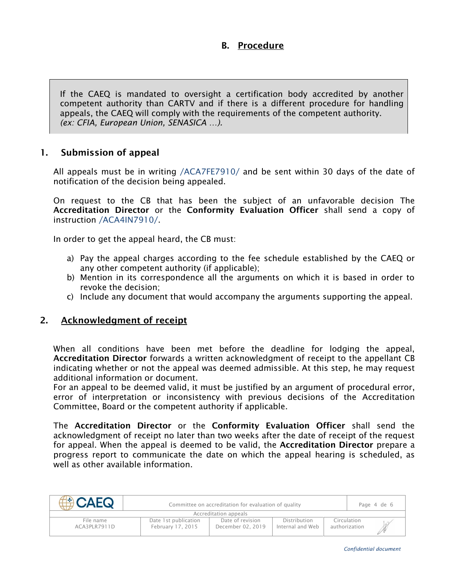# B. Procedure

If the CAEQ is mandated to oversight a certification body accredited by another competent authority than CARTV and if there is a different procedure for handling appeals, the CAEQ will comply with the requirements of the competent authority. *(ex: CFIA, European Union, SENASICA …).*

# 1. Submission of appeal

All appeals must be in writing /ACA7FE7910/ and be sent within 30 days of the date of notification of the decision being appealed.

On request to the CB that has been the subject of an unfavorable decision The Accreditation Director or the Conformity Evaluation Officer shall send a copy of instruction /ACA4IN7910/.

In order to get the appeal heard, the CB must:

- a) Pay the appeal charges according to the fee schedule established by the CAEQ or any other competent authority (if applicable);
- b) Mention in its correspondence all the arguments on which it is based in order to revoke the decision;
- c) Include any document that would accompany the arguments supporting the appeal.

#### 2. Acknowledgment of receipt

When all conditions have been met before the deadline for lodging the appeal, Accreditation Director forwards a written acknowledgment of receipt to the appellant CB indicating whether or not the appeal was deemed admissible. At this step, he may request additional information or document.

For an appeal to be deemed valid, it must be justified by an argument of procedural error, error of interpretation or inconsistency with previous decisions of the Accreditation Committee, Board or the competent authority if applicable.

The Accreditation Director or the Conformity Evaluation Officer shall send the acknowledgment of receipt no later than two weeks after the date of receipt of the request for appeal. When the appeal is deemed to be valid, the **Accreditation Director** prepare a progress report to communicate the date on which the appeal hearing is scheduled, as well as other available information.

| ACAFO                     | Committee on accreditation for evaluation of quality |                                       |                                  |                              |  | Page 4 de 6 |
|---------------------------|------------------------------------------------------|---------------------------------------|----------------------------------|------------------------------|--|-------------|
| Accreditation appeals     |                                                      |                                       |                                  |                              |  |             |
| File name<br>ACA3PLR7911D | Date 1st publication<br>February 17, 2015            | Date of revision<br>December 02, 2019 | Distribution<br>Internal and Web | Circulation<br>authorization |  |             |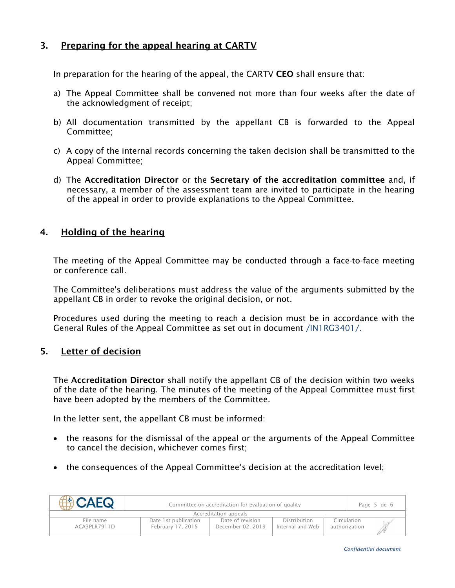# 3. Preparing for the appeal hearing at CARTV

In preparation for the hearing of the appeal, the CARTV CEO shall ensure that:

- a) The Appeal Committee shall be convened not more than four weeks after the date of the acknowledgment of receipt;
- b) All documentation transmitted by the appellant CB is forwarded to the Appeal Committee;
- c) A copy of the internal records concerning the taken decision shall be transmitted to the Appeal Committee;
- d) The Accreditation Director or the Secretary of the accreditation committee and, if necessary, a member of the assessment team are invited to participate in the hearing of the appeal in order to provide explanations to the Appeal Committee.

# 4. Holding of the hearing

The meeting of the Appeal Committee may be conducted through a face-to-face meeting or conference call.

The Committee's deliberations must address the value of the arguments submitted by the appellant CB in order to revoke the original decision, or not.

Procedures used during the meeting to reach a decision must be in accordance with the General Rules of the Appeal Committee as set out in document /IN1RG3401/.

# 5. Letter of decision

The Accreditation Director shall notify the appellant CB of the decision within two weeks of the date of the hearing. The minutes of the meeting of the Appeal Committee must first have been adopted by the members of the Committee.

In the letter sent, the appellant CB must be informed:

- the reasons for the dismissal of the appeal or the arguments of the Appeal Committee to cancel the decision, whichever comes first;
- the consequences of the Appeal Committee's decision at the accreditation level;

| <b>E</b> CAEQ             | Committee on accreditation for evaluation of quality |                                       | Page 5 de 6                      |                              |  |  |  |
|---------------------------|------------------------------------------------------|---------------------------------------|----------------------------------|------------------------------|--|--|--|
| Accreditation appeals     |                                                      |                                       |                                  |                              |  |  |  |
| File name<br>ACA3PLR7911D | Date 1st publication<br>February 17, 2015            | Date of revision<br>December 02, 2019 | Distribution<br>Internal and Web | Circulation<br>authorization |  |  |  |